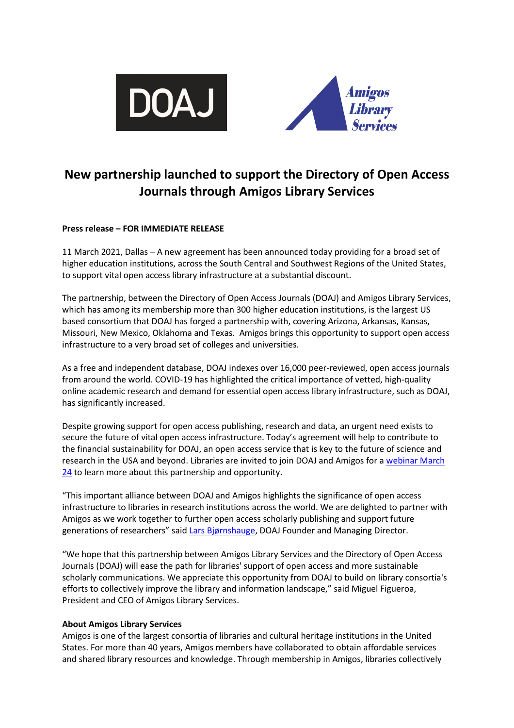



# **New partnership launched to support the Directory of Open Access Journals through Amigos Library Services**

## **Press release – FOR IMMEDIATE RELEASE**

11 March 2021, Dallas – A new agreement has been announced today providing for a broad set of higher education institutions, across the South Central and Southwest Regions of the United States, to support vital open access library infrastructure at a substantial discount.

The partnership, between the Directory of Open Access Journals (DOAJ) and Amigos Library Services, which has among its membership more than 300 higher education institutions, is the largest US based consortium that DOAJ has forged a partnership with, covering Arizona, Arkansas, Kansas, Missouri, New Mexico, Oklahoma and Texas. Amigos brings this opportunity to support open access infrastructure to a very broad set of colleges and universities.

As a free and independent database, DOAJ indexes over 16,000 peer-reviewed, open access journals from around the world. COVID-19 has highlighted the critical importance of vetted, high-quality online academic research and demand for essential open access library infrastructure, such as DOAJ, has significantly increased.

Despite growing support for open access publishing, research and data, an urgent need exists to secure the future of vital open access infrastructure. Today's agreement will help to contribute to the financial sustainability for DOAJ, an open access service that is key to the future of science and research in the USA and beyond. Libraries are invited to join DOAJ and Amigos for a [webinar March](https://www.amigos.org/civicrm/event/info%3Fid%3D1513%26amp%3Breset%3D1)   $24$  to learn more about this partnership and opportunity.

"This important alliance between DOAJ and Amigos highlights the significance of open access infrastructure to libraries in research institutions across the world. We are delighted to partner with Amigos as we work together to further open access scholarly publishing and support future generations of researchers" said [Lars Bjørnshauge,](https://doaj.org/about/team/) DOAJ Founder and Managing Director.

"We hope that this partnership between Amigos Library Services and the Directory of Open Access Journals (DOAJ) will ease the path for libraries' support of open access and more sustainable scholarly communications. We appreciate this opportunity from DOAJ to build on library consortia's efforts to collectively improve the library and information landscape," said Miguel Figueroa, President and CEO of Amigos Library Services.

## **About Amigos Library Services**

Amigos is one of the largest consortia of libraries and cultural heritage institutions in the United States. For more than 40 years, Amigos members have collaborated to obtain affordable services and shared library resources and knowledge. Through membership in Amigos, libraries collectively